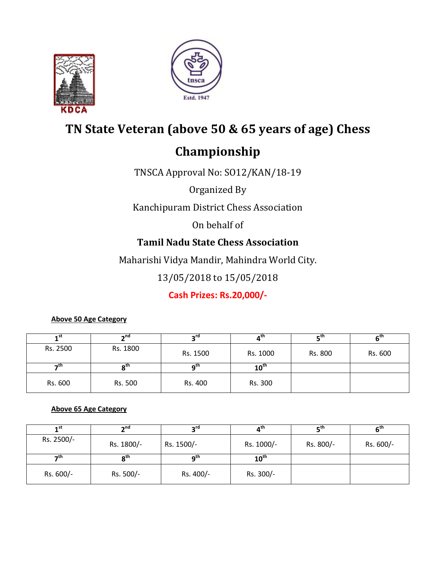



# **TN State Veteran (above 50 & 65 years of age) Chess**

# **Championship**

TNSCA Approval No: SO12/KAN/18-19

Organized By

Kanchipuram District Chess Association

On behalf of

# **Tamil Nadu State Chess Association**

Maharishi Vidya Mandir, Mahindra World City.

13/05/2018 to 15/05/2018

**Cash Prizes: Rs.20,000/-**

#### **Above 50 Age Category**

| 1 <sup>st</sup> | 2 <sub>nd</sub> | o۳۵      | ⊿'''             | ∟th     | e ur    |
|-----------------|-----------------|----------|------------------|---------|---------|
| Rs. 2500        | Rs. 1800        | Rs. 1500 | Rs. 1000         | Rs. 800 | Rs. 600 |
| th-             | იth             | ี่∩เ     | $10^{\text{th}}$ |         |         |
| Rs. 600         | Rs. 500         | Rs. 400  | Rs. 300          |         |         |

#### **Above 65 Age Category**

| 1 <sup>st</sup> | $\mathbf{A}^{\mathsf{nd}}$ | טיפ        | հա               | $\mathsf{r}^{\mathsf{th}}$ |           |
|-----------------|----------------------------|------------|------------------|----------------------------|-----------|
| Rs. 2500/-      | Rs. 1800/-                 | Rs. 1500/- | Rs. 1000/-       | Rs. 800/-                  | Rs. 600/- |
| ⊸th             | $\mathbf{a}^{\text{th}}$   | ∩™         | $10^{\text{th}}$ |                            |           |
| Rs. 600/-       | Rs. 500/-                  | Rs. 400/-  | Rs. 300/-        |                            |           |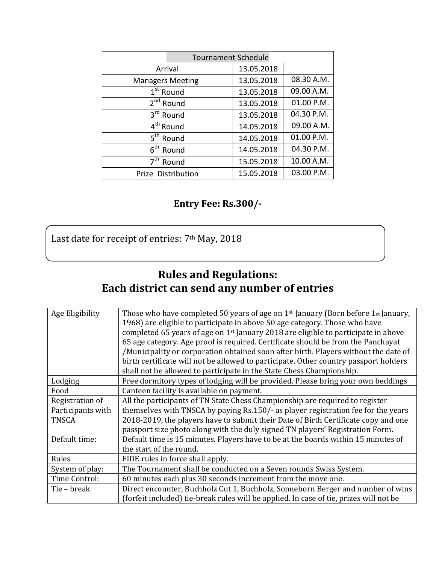| <b>Tournament Schedule</b> |            |            |
|----------------------------|------------|------------|
| Arrival                    | 13.05.2018 |            |
| <b>Managers Meeting</b>    | 13.05.2018 | 08.30 A.M. |
| 1 <sup>st</sup> Round      | 13.05.2018 | 09.00 A.M. |
| 2 <sup>nd</sup> Round      | 13.05.2018 | 01.00 P.M. |
| 3rd Round                  | 13.05.2018 | 04.30 P.M. |
| 4 <sup>th</sup> Round      | 14.05.2018 | 09.00 A.M. |
| 5 <sup>th</sup> Round      | 14.05.2018 | 01.00 P.M. |
| 6 <sup>th</sup> Round      | 14.05.2018 | 04.30 P.M. |
| 7 <sup>th</sup> Round      | 15.05.2018 | 10.00 A.M. |
| Prize Distribution         | 15.05.2018 | 03.00 P.M. |

# **Entry Fee: Rs.300/-**

Last date for receipt of entries: 7<sup>th</sup> May, 2018

# **Rules and Regulations: Each district can send any number of entries**

| Age Eligibility   | Those who have completed 50 years of age on 1 <sup>st</sup> January (Born before 1st January,  |  |  |
|-------------------|------------------------------------------------------------------------------------------------|--|--|
|                   | 1968) are eligible to participate in above 50 age category. Those who have                     |  |  |
|                   | completed 65 years of age on 1 <sup>st</sup> January 2018 are eligible to participate in above |  |  |
|                   | 65 age category. Age proof is required. Certificate should be from the Panchayat               |  |  |
|                   | /Municipality or corporation obtained soon after birth. Players without the date of            |  |  |
|                   | birth certificate will not be allowed to participate. Other country passport holders           |  |  |
|                   | shall not be allowed to participate in the State Chess Championship.                           |  |  |
| Lodging           | Free dormitory types of lodging will be provided. Please bring your own beddings               |  |  |
| Food              | Canteen facility is available on payment.                                                      |  |  |
| Registration of   | All the participants of TN State Chess Championship are required to register                   |  |  |
| Participants with | themselves with TNSCA by paying Rs.150/- as player registration fee for the years              |  |  |
| <b>TNSCA</b>      | 2018-2019, the players have to submit their Date of Birth Certificate copy and one             |  |  |
|                   | passport size photo along with the duly signed TN players' Registration Form.                  |  |  |
| Default time:     | Default time is 15 minutes. Players have to be at the boards within 15 minutes of              |  |  |
|                   | the start of the round.                                                                        |  |  |
| Rules             | FIDE rules in force shall apply.                                                               |  |  |
| System of play:   | The Tournament shall be conducted on a Seven rounds Swiss System.                              |  |  |
| Time Control:     | 60 minutes each plus 30 seconds increment from the move one.                                   |  |  |
| Tie – break       | Direct encounter, Buchholz Cut 1, Buchholz, Sonneborn Berger and number of wins                |  |  |
|                   | (forfeit included) tie-break rules will be applied. In case of tie, prizes will not be         |  |  |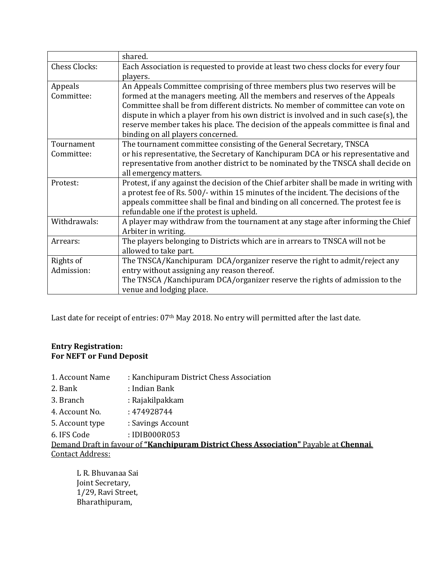|                      | shared.                                                                                 |
|----------------------|-----------------------------------------------------------------------------------------|
| <b>Chess Clocks:</b> | Each Association is requested to provide at least two chess clocks for every four       |
|                      | players.                                                                                |
| Appeals              | An Appeals Committee comprising of three members plus two reserves will be              |
| Committee:           | formed at the managers meeting. All the members and reserves of the Appeals             |
|                      | Committee shall be from different districts. No member of committee can vote on         |
|                      | dispute in which a player from his own district is involved and in such case(s), the    |
|                      | reserve member takes his place. The decision of the appeals committee is final and      |
|                      | binding on all players concerned.                                                       |
| Tournament           | The tournament committee consisting of the General Secretary, TNSCA                     |
| Committee:           | or his representative, the Secretary of Kanchipuram DCA or his representative and       |
|                      | representative from another district to be nominated by the TNSCA shall decide on       |
|                      | all emergency matters.                                                                  |
| Protest:             | Protest, if any against the decision of the Chief arbiter shall be made in writing with |
|                      | a protest fee of Rs. 500/- within 15 minutes of the incident. The decisions of the      |
|                      | appeals committee shall be final and binding on all concerned. The protest fee is       |
|                      | refundable one if the protest is upheld.                                                |
| Withdrawals:         | A player may withdraw from the tournament at any stage after informing the Chief        |
|                      | Arbiter in writing.                                                                     |
| Arrears:             | The players belonging to Districts which are in arrears to TNSCA will not be            |
|                      | allowed to take part.                                                                   |
| Rights of            | The TNSCA/Kanchipuram DCA/organizer reserve the right to admit/reject any               |
| Admission:           | entry without assigning any reason thereof.                                             |
|                      | The TNSCA /Kanchipuram DCA/organizer reserve the rights of admission to the             |
|                      | venue and lodging place.                                                                |

Last date for receipt of entries: 07<sup>th</sup> May 2018. No entry will permitted after the last date.

#### **Entry Registration: For NEFT or Fund Deposit**

- 1. Account Name : Kanchipuram District Chess Association
- 2. Bank : Indian Bank
- 3. Branch : Rajakilpakkam
- 4. Account No. : 474928744
- 5. Account type : Savings Account
- 6. IFS Code : IDIB000R053

Demand Draft in favour of **"Kanchipuram District Chess Association"** Payable at **Chennai**. Contact Address:

L R. Bhuvanaa Sai Joint Secretary, 1/29, Ravi Street, Bharathipuram,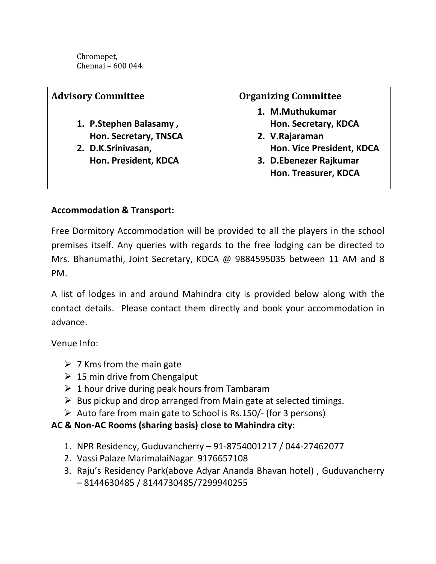Chromepet, Chennai – 600 044.

| <b>Organizing Committee</b> |
|-----------------------------|
| 1. M.Muthukumar             |
| Hon. Secretary, KDCA        |
| 2. V.Rajaraman              |
| Hon. Vice President, KDCA   |
| 3. D.Ebenezer Rajkumar      |
| Hon. Treasurer, KDCA        |
|                             |

### **Accommodation & Transport:**

Free Dormitory Accommodation will be provided to all the players in the school premises itself. Any queries with regards to the free lodging can be directed to Mrs. Bhanumathi, Joint Secretary, KDCA @ 9884595035 between 11 AM and 8 PM.

A list of lodges in and around Mahindra city is provided below along with the contact details. Please contact them directly and book your accommodation in advance.

Venue Info:

- $\triangleright$  7 Kms from the main gate
- $\geq 15$  min drive from Chengalput
- $\geq 1$  hour drive during peak hours from Tambaram
- $\triangleright$  Bus pickup and drop arranged from Main gate at selected timings.
- $\triangleright$  Auto fare from main gate to School is Rs.150/- (for 3 persons)

### **AC & Non-AC Rooms (sharing basis) close to Mahindra city:**

- 1. NPR Residency, Guduvancherry 91-8754001217 / 044-27462077
- 2. Vassi Palaze MarimalaiNagar 9176657108
- 3. Raju's Residency Park(above Adyar Ananda Bhavan hotel) , Guduvancherry – 8144630485 / 8144730485/7299940255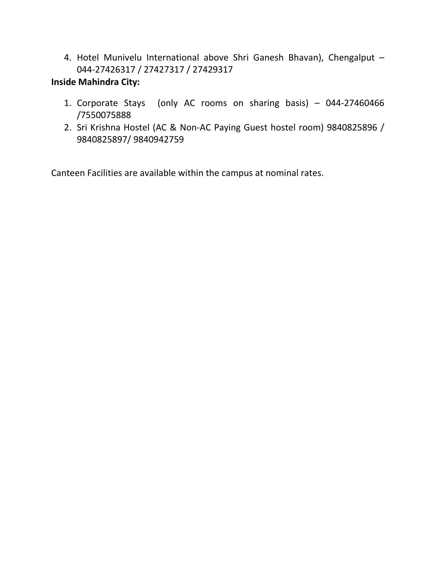4. Hotel Munivelu International above Shri Ganesh Bhavan), Chengalput – 044-27426317 / 27427317 / 27429317

### **Inside Mahindra City:**

- 1. Corporate Stays (only AC rooms on sharing basis) 044-27460466 /7550075888
- 2. Sri Krishna Hostel (AC & Non-AC Paying Guest hostel room) 9840825896 / 9840825897/ 9840942759

Canteen Facilities are available within the campus at nominal rates.